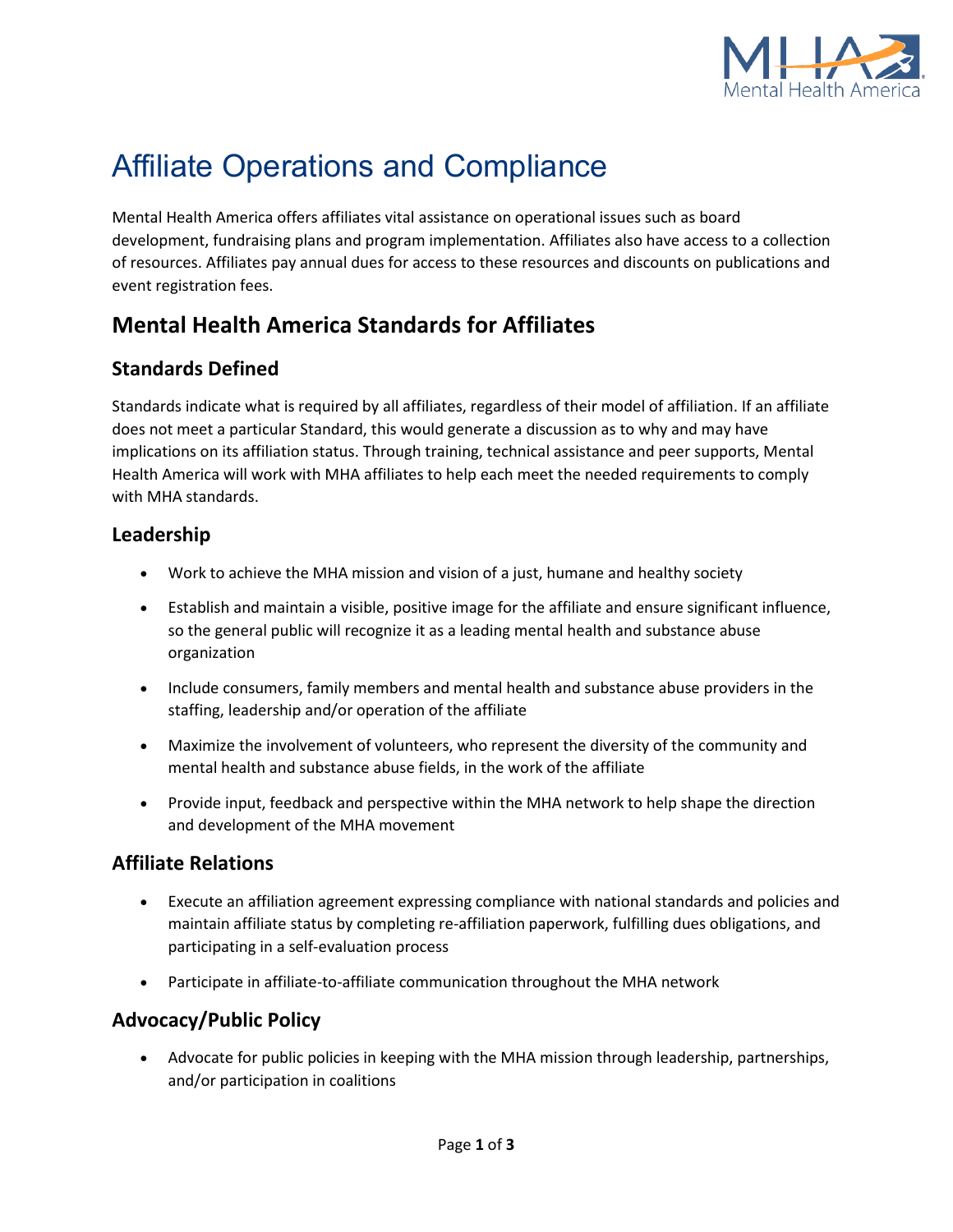

# Affiliate Operations and Compliance

Mental Health America offers affiliates vital assistance on operational issues such as board development, fundraising plans and program implementation. Affiliates also have access to a collection of resources. Affiliates pay annual dues for access to these resources and discounts on publications and event registration fees.

# **Mental Health America Standards for Affiliates**

# **Standards Defined**

Standards indicate what is required by all affiliates, regardless of their model of affiliation. If an affiliate does not meet a particular Standard, this would generate a discussion as to why and may have implications on its affiliation status. Through training, technical assistance and peer supports, Mental Health America will work with MHA affiliates to help each meet the needed requirements to comply with MHA standards.

#### **Leadership**

- Work to achieve the MHA mission and vision of a just, humane and healthy society
- Establish and maintain a visible, positive image for the affiliate and ensure significant influence, so the general public will recognize it as a leading mental health and substance abuse organization
- Include consumers, family members and mental health and substance abuse providers in the staffing, leadership and/or operation of the affiliate
- Maximize the involvement of volunteers, who represent the diversity of the community and mental health and substance abuse fields, in the work of the affiliate
- Provide input, feedback and perspective within the MHA network to help shape the direction and development of the MHA movement

# **Affiliate Relations**

- Execute an affiliation agreement expressing compliance with national standards and policies and maintain affiliate status by completing re-affiliation paperwork, fulfilling dues obligations, and participating in a self-evaluation process
- Participate in affiliate-to-affiliate communication throughout the MHA network

# **Advocacy/Public Policy**

• Advocate for public policies in keeping with the MHA mission through leadership, partnerships, and/or participation in coalitions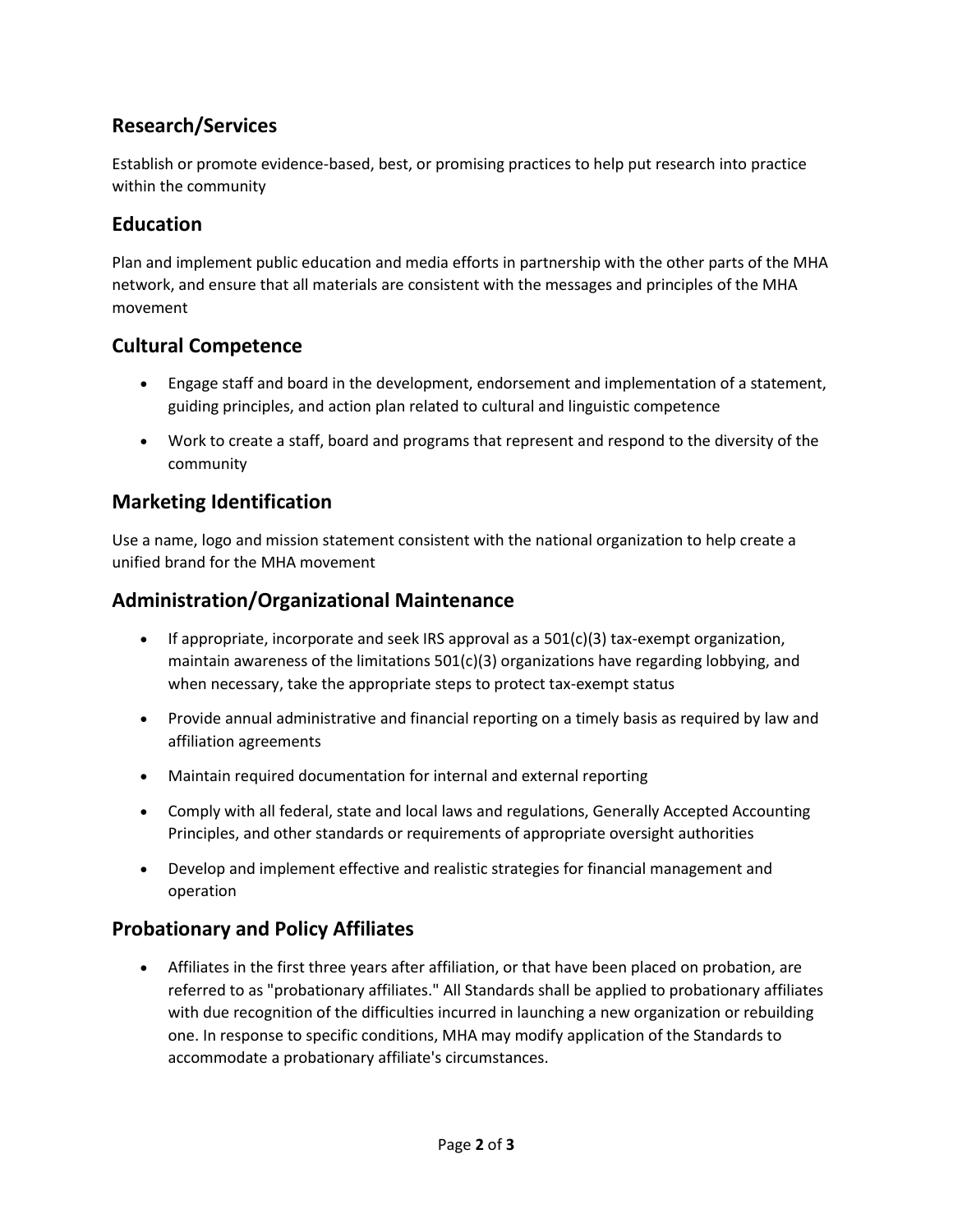# **Research/Services**

Establish or promote evidence-based, best, or promising practices to help put research into practice within the community

#### **Education**

Plan and implement public education and media efforts in partnership with the other parts of the MHA network, and ensure that all materials are consistent with the messages and principles of the MHA movement

# **Cultural Competence**

- Engage staff and board in the development, endorsement and implementation of a statement, guiding principles, and action plan related to cultural and linguistic competence
- Work to create a staff, board and programs that represent and respond to the diversity of the community

#### **Marketing Identification**

Use a name, logo and mission statement consistent with the national organization to help create a unified brand for the MHA movement

#### **Administration/Organizational Maintenance**

- If appropriate, incorporate and seek IRS approval as a  $501(c)(3)$  tax-exempt organization, maintain awareness of the limitations  $501(c)(3)$  organizations have regarding lobbying, and when necessary, take the appropriate steps to protect tax-exempt status
- Provide annual administrative and financial reporting on a timely basis as required by law and affiliation agreements
- Maintain required documentation for internal and external reporting
- Comply with all federal, state and local laws and regulations, Generally Accepted Accounting Principles, and other standards or requirements of appropriate oversight authorities
- Develop and implement effective and realistic strategies for financial management and operation

# **Probationary and Policy Affiliates**

• Affiliates in the first three years after affiliation, or that have been placed on probation, are referred to as "probationary affiliates." All Standards shall be applied to probationary affiliates with due recognition of the difficulties incurred in launching a new organization or rebuilding one. In response to specific conditions, MHA may modify application of the Standards to accommodate a probationary affiliate's circumstances.